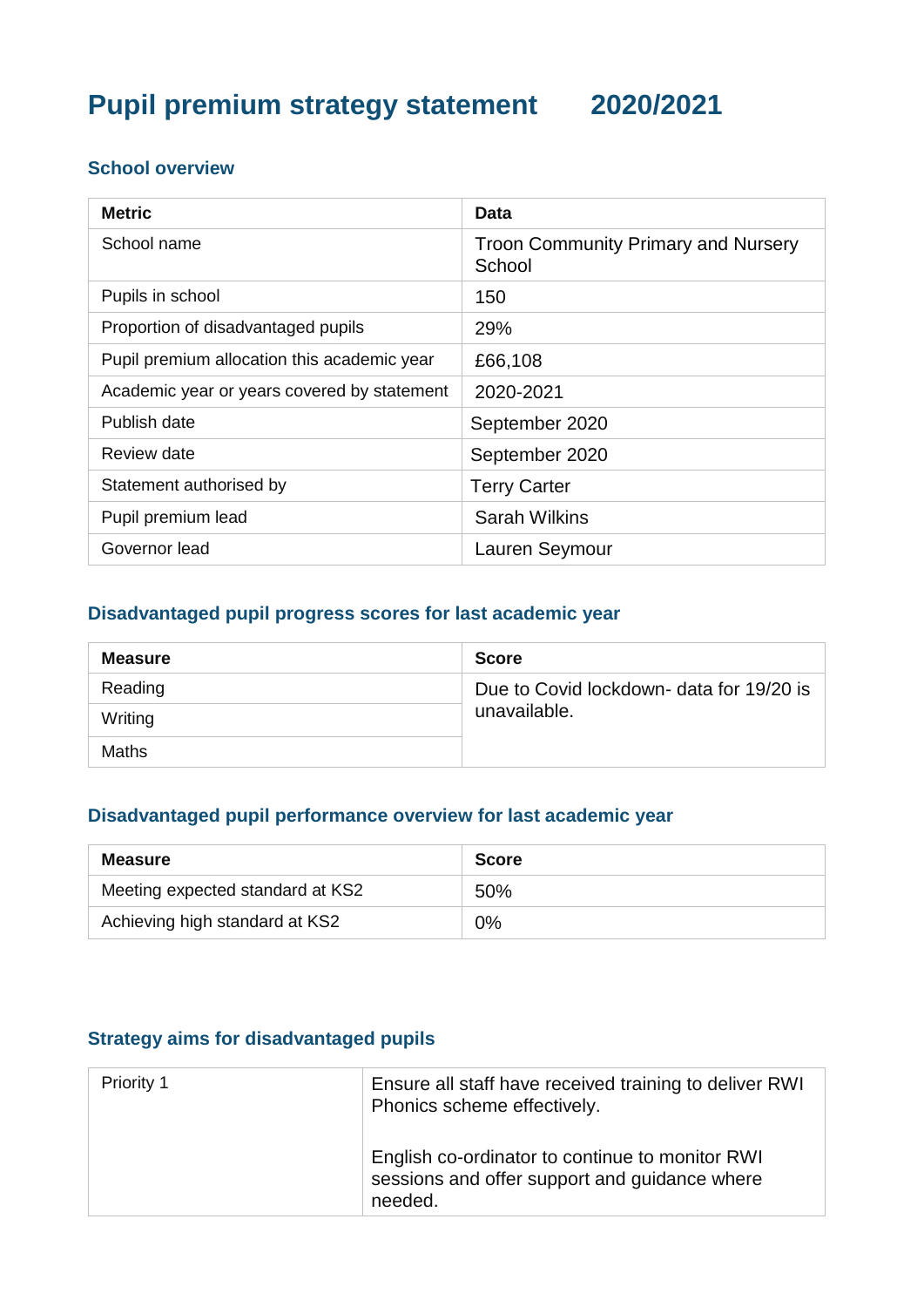# **Pupil premium strategy statement 2020/2021**

#### **School overview**

| <b>Metric</b>                               | Data                                                 |
|---------------------------------------------|------------------------------------------------------|
| School name                                 | <b>Troon Community Primary and Nursery</b><br>School |
| Pupils in school                            | 150                                                  |
| Proportion of disadvantaged pupils          | 29%                                                  |
| Pupil premium allocation this academic year | £66,108                                              |
| Academic year or years covered by statement | 2020-2021                                            |
| Publish date                                | September 2020                                       |
| Review date                                 | September 2020                                       |
| Statement authorised by                     | <b>Terry Carter</b>                                  |
| Pupil premium lead                          | <b>Sarah Wilkins</b>                                 |
| Governor lead                               | Lauren Seymour                                       |

#### **Disadvantaged pupil progress scores for last academic year**

| <b>Measure</b> | <b>Score</b>                             |
|----------------|------------------------------------------|
| Reading        | Due to Covid lockdown- data for 19/20 is |
| Writing        | unavailable.                             |
| <b>Maths</b>   |                                          |

#### **Disadvantaged pupil performance overview for last academic year**

| Measure                          | <b>Score</b> |
|----------------------------------|--------------|
| Meeting expected standard at KS2 | 50%          |
| Achieving high standard at KS2   | $0\%$        |

### **Strategy aims for disadvantaged pupils**

| <b>Priority 1</b> | Ensure all staff have received training to deliver RWI<br>Phonics scheme effectively.                       |
|-------------------|-------------------------------------------------------------------------------------------------------------|
|                   | English co-ordinator to continue to monitor RWI<br>sessions and offer support and guidance where<br>needed. |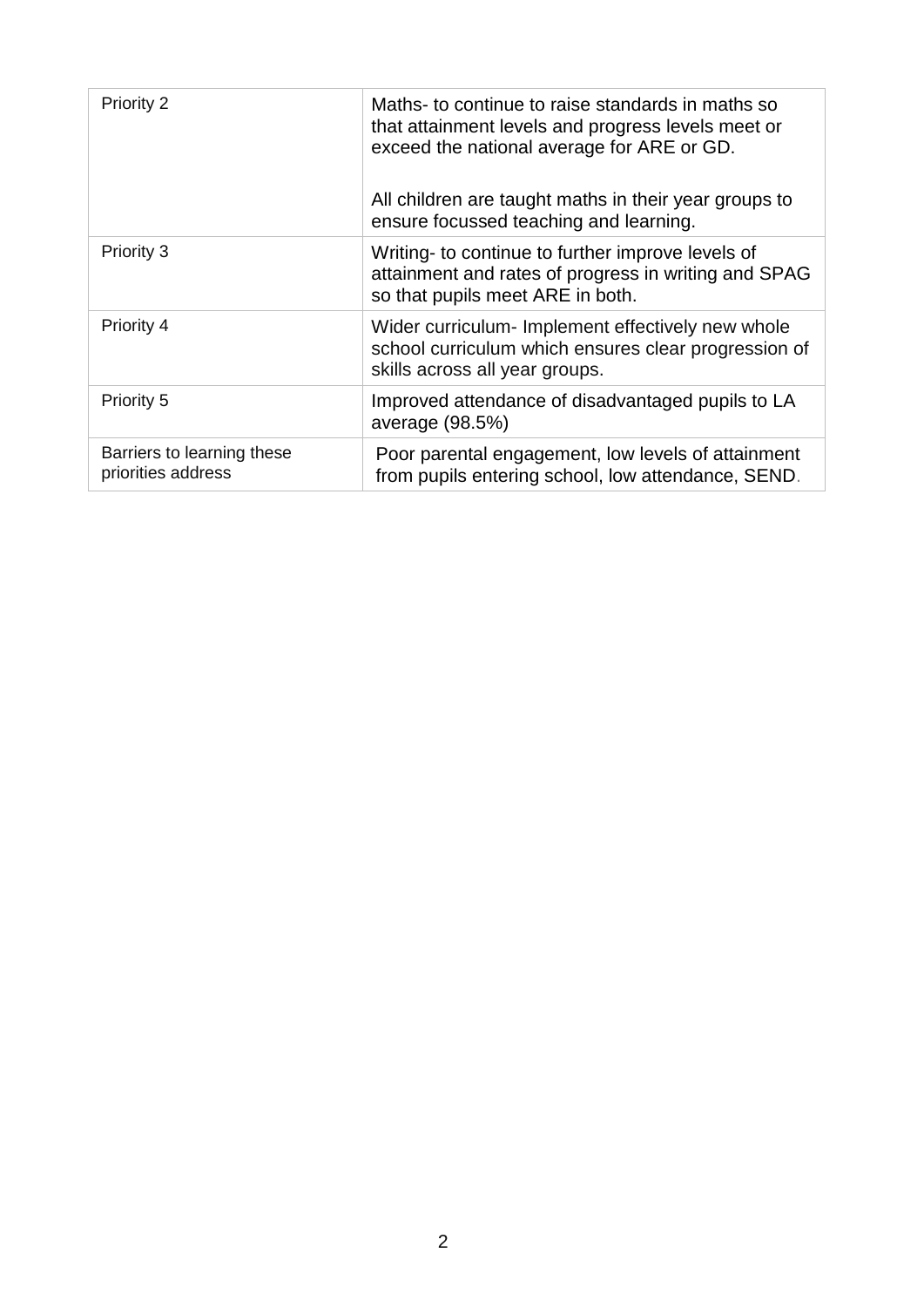| Priority 2                                       | Maths- to continue to raise standards in maths so<br>that attainment levels and progress levels meet or<br>exceed the national average for ARE or GD. |
|--------------------------------------------------|-------------------------------------------------------------------------------------------------------------------------------------------------------|
|                                                  | All children are taught maths in their year groups to<br>ensure focussed teaching and learning.                                                       |
| Priority 3                                       | Writing- to continue to further improve levels of<br>attainment and rates of progress in writing and SPAG<br>so that pupils meet ARE in both.         |
| Priority 4                                       | Wider curriculum- Implement effectively new whole<br>school curriculum which ensures clear progression of<br>skills across all year groups.           |
| <b>Priority 5</b>                                | Improved attendance of disadvantaged pupils to LA<br>average (98.5%)                                                                                  |
| Barriers to learning these<br>priorities address | Poor parental engagement, low levels of attainment<br>from pupils entering school, low attendance, SEND.                                              |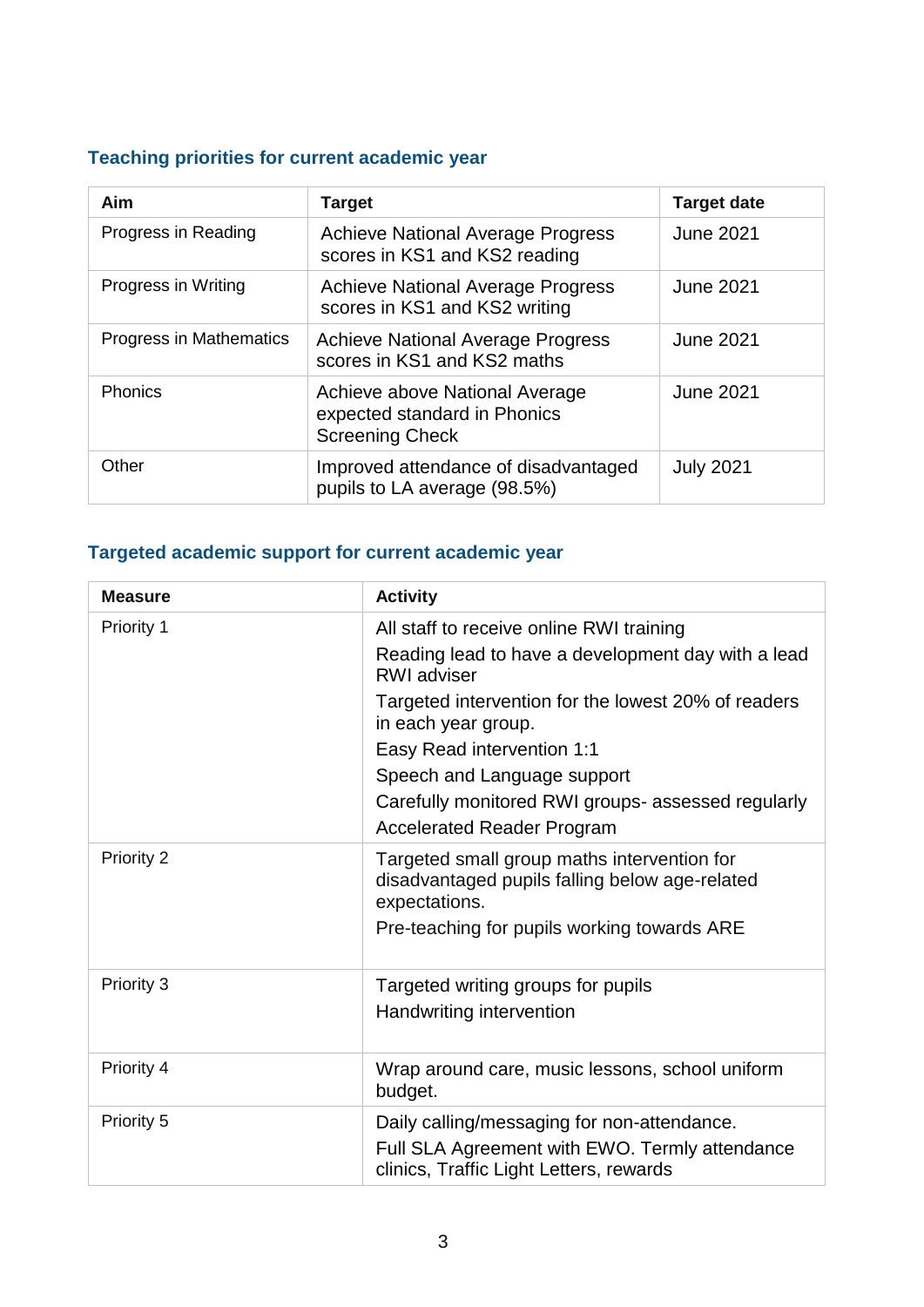## **Teaching priorities for current academic year**

| Aim                            | <b>Target</b>                                                                            | <b>Target date</b> |
|--------------------------------|------------------------------------------------------------------------------------------|--------------------|
| Progress in Reading            | <b>Achieve National Average Progress</b><br>scores in KS1 and KS2 reading                | <b>June 2021</b>   |
| Progress in Writing            | <b>Achieve National Average Progress</b><br>scores in KS1 and KS2 writing                | <b>June 2021</b>   |
| <b>Progress in Mathematics</b> | <b>Achieve National Average Progress</b><br>scores in KS1 and KS2 maths                  | <b>June 2021</b>   |
| <b>Phonics</b>                 | Achieve above National Average<br>expected standard in Phonics<br><b>Screening Check</b> | <b>June 2021</b>   |
| Other                          | Improved attendance of disadvantaged<br>pupils to LA average (98.5%)                     | <b>July 2021</b>   |

## **Targeted academic support for current academic year**

| <b>Measure</b> | <b>Activity</b>                                                                                                                          |
|----------------|------------------------------------------------------------------------------------------------------------------------------------------|
| Priority 1     | All staff to receive online RWI training                                                                                                 |
|                | Reading lead to have a development day with a lead<br><b>RWI</b> adviser                                                                 |
|                | Targeted intervention for the lowest 20% of readers<br>in each year group.                                                               |
|                | Easy Read intervention 1:1                                                                                                               |
|                | Speech and Language support                                                                                                              |
|                | Carefully monitored RWI groups- assessed regularly                                                                                       |
|                | <b>Accelerated Reader Program</b>                                                                                                        |
| Priority 2     | Targeted small group maths intervention for<br>disadvantaged pupils falling below age-related<br>expectations.                           |
|                | Pre-teaching for pupils working towards ARE                                                                                              |
| Priority 3     | Targeted writing groups for pupils                                                                                                       |
|                | Handwriting intervention                                                                                                                 |
| Priority 4     | Wrap around care, music lessons, school uniform<br>budget.                                                                               |
| Priority 5     | Daily calling/messaging for non-attendance.<br>Full SLA Agreement with EWO. Termly attendance<br>clinics, Traffic Light Letters, rewards |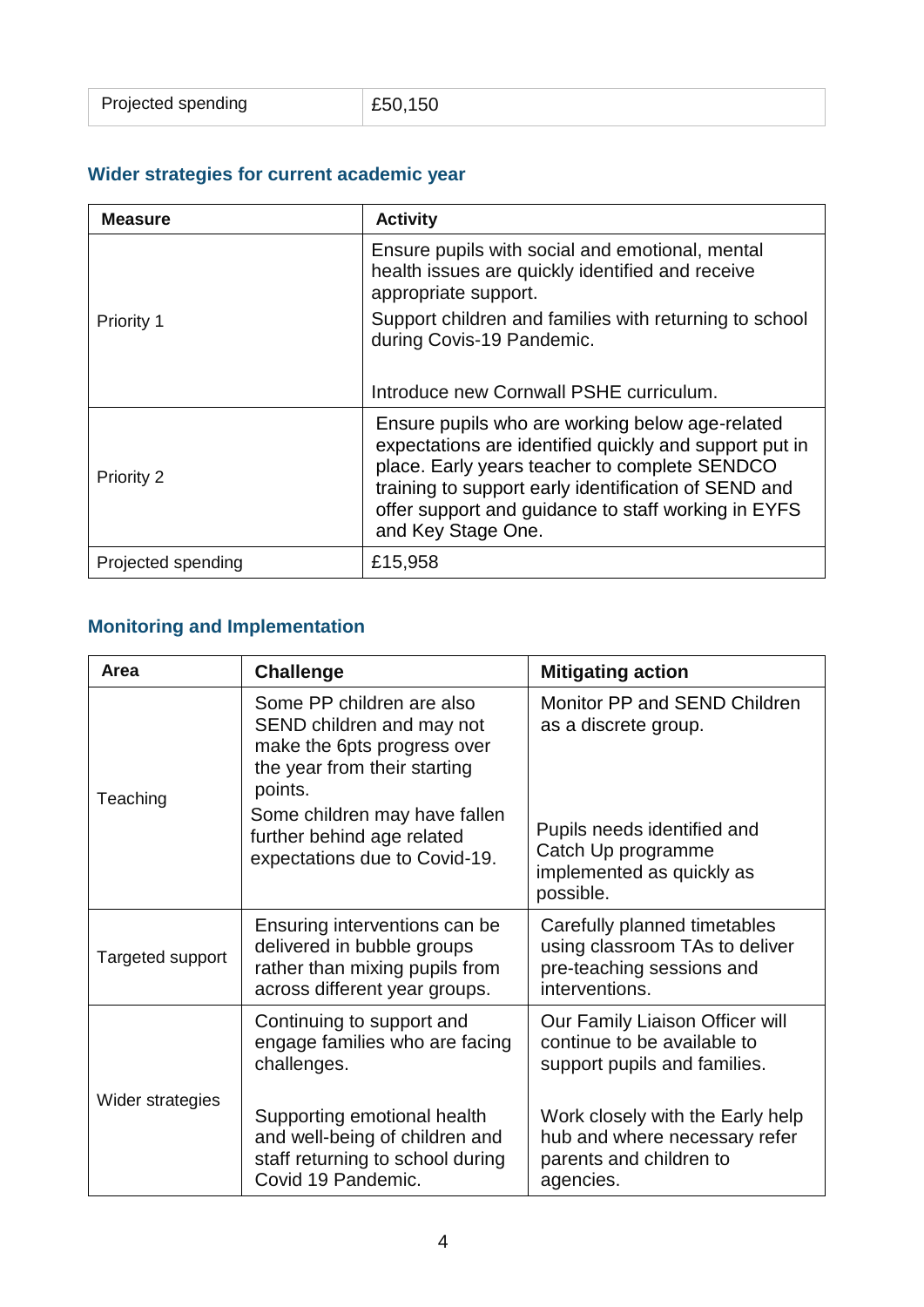| Projected spending | £50,150 |
|--------------------|---------|
|                    |         |

## **Wider strategies for current academic year**

| <b>Measure</b>     | <b>Activity</b>                                                                                                                                                                                                                                                                                 |
|--------------------|-------------------------------------------------------------------------------------------------------------------------------------------------------------------------------------------------------------------------------------------------------------------------------------------------|
|                    | Ensure pupils with social and emotional, mental<br>health issues are quickly identified and receive<br>appropriate support.                                                                                                                                                                     |
| Priority 1         | Support children and families with returning to school<br>during Covis-19 Pandemic.                                                                                                                                                                                                             |
|                    | Introduce new Cornwall PSHE curriculum.                                                                                                                                                                                                                                                         |
| Priority 2         | Ensure pupils who are working below age-related<br>expectations are identified quickly and support put in<br>place. Early years teacher to complete SENDCO<br>training to support early identification of SEND and<br>offer support and guidance to staff working in EYFS<br>and Key Stage One. |
| Projected spending | £15,958                                                                                                                                                                                                                                                                                         |

# **Monitoring and Implementation**

| Area             | <b>Challenge</b>                                                                                                                 | <b>Mitigating action</b>                                                                                      |
|------------------|----------------------------------------------------------------------------------------------------------------------------------|---------------------------------------------------------------------------------------------------------------|
| Teaching         | Some PP children are also<br>SEND children and may not<br>make the 6pts progress over<br>the year from their starting<br>points. | Monitor PP and SEND Children<br>as a discrete group.                                                          |
|                  | Some children may have fallen<br>further behind age related<br>expectations due to Covid-19.                                     | Pupils needs identified and<br>Catch Up programme<br>implemented as quickly as<br>possible.                   |
| Targeted support | Ensuring interventions can be<br>delivered in bubble groups<br>rather than mixing pupils from<br>across different year groups.   | Carefully planned timetables<br>using classroom TAs to deliver<br>pre-teaching sessions and<br>interventions. |
|                  | Continuing to support and<br>engage families who are facing<br>challenges.                                                       | Our Family Liaison Officer will<br>continue to be available to<br>support pupils and families.                |
| Wider strategies | Supporting emotional health<br>and well-being of children and<br>staff returning to school during<br>Covid 19 Pandemic.          | Work closely with the Early help<br>hub and where necessary refer<br>parents and children to<br>agencies.     |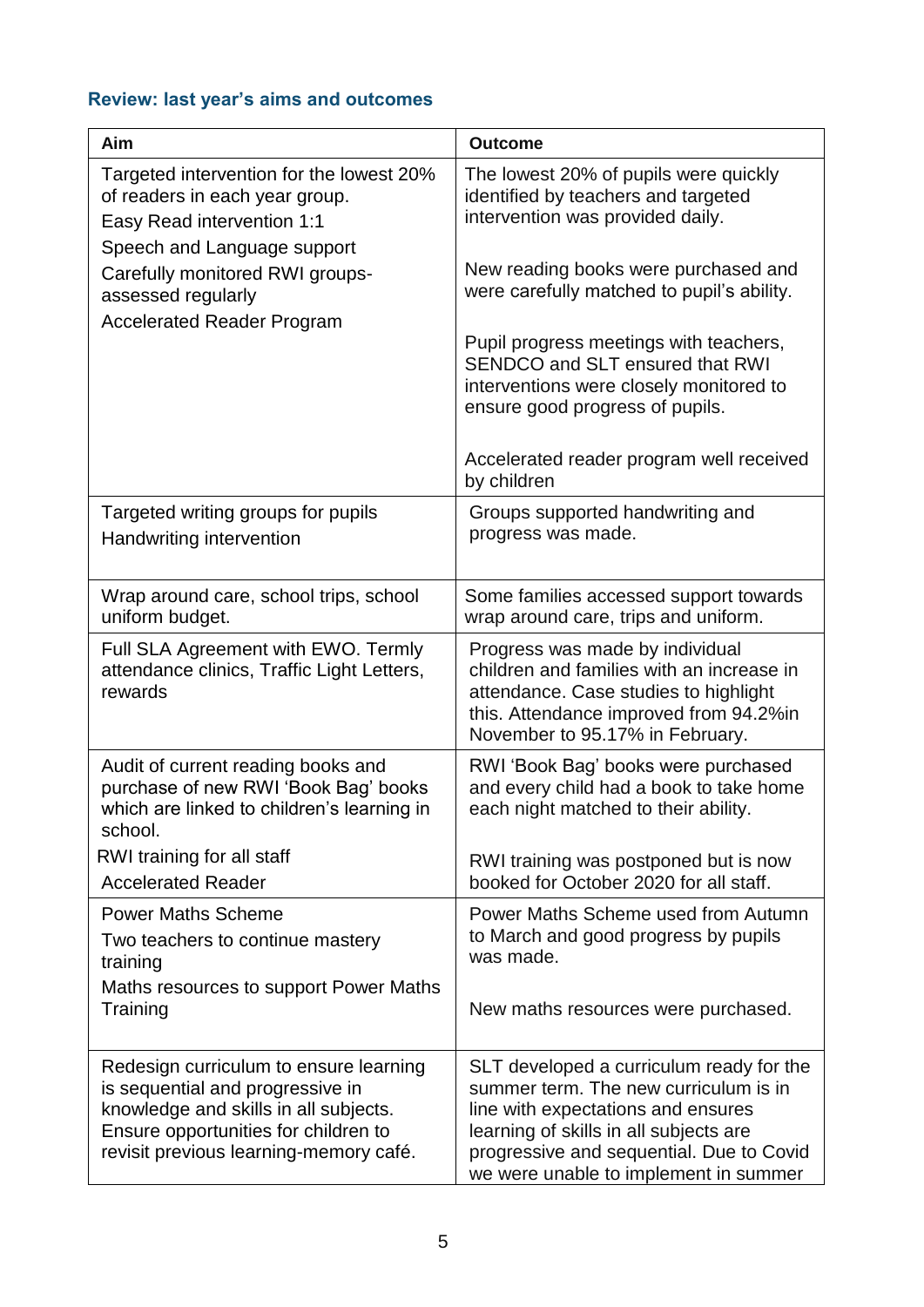## **Review: last year's aims and outcomes**

| Aim                                                                                                                                                                                                   | <b>Outcome</b>                                                                                                                                                                                                                                         |
|-------------------------------------------------------------------------------------------------------------------------------------------------------------------------------------------------------|--------------------------------------------------------------------------------------------------------------------------------------------------------------------------------------------------------------------------------------------------------|
| Targeted intervention for the lowest 20%<br>of readers in each year group.<br>Easy Read intervention 1:1                                                                                              | The lowest 20% of pupils were quickly<br>identified by teachers and targeted<br>intervention was provided daily.                                                                                                                                       |
| Speech and Language support<br>Carefully monitored RWI groups-<br>assessed regularly<br><b>Accelerated Reader Program</b>                                                                             | New reading books were purchased and<br>were carefully matched to pupil's ability.                                                                                                                                                                     |
|                                                                                                                                                                                                       | Pupil progress meetings with teachers,<br><b>SENDCO and SLT ensured that RWI</b><br>interventions were closely monitored to<br>ensure good progress of pupils.                                                                                         |
|                                                                                                                                                                                                       | Accelerated reader program well received<br>by children                                                                                                                                                                                                |
| Targeted writing groups for pupils<br>Handwriting intervention                                                                                                                                        | Groups supported handwriting and<br>progress was made.                                                                                                                                                                                                 |
| Wrap around care, school trips, school<br>uniform budget.                                                                                                                                             | Some families accessed support towards<br>wrap around care, trips and uniform.                                                                                                                                                                         |
| Full SLA Agreement with EWO. Termly<br>attendance clinics, Traffic Light Letters,<br>rewards                                                                                                          | Progress was made by individual<br>children and families with an increase in<br>attendance. Case studies to highlight<br>this. Attendance improved from 94.2%in<br>November to 95.17% in February.                                                     |
| Audit of current reading books and<br>purchase of new RWI 'Book Bag' books<br>which are linked to children's learning in<br>school.                                                                   | RWI 'Book Bag' books were purchased<br>and every child had a book to take home<br>each night matched to their ability.                                                                                                                                 |
| RWI training for all staff<br><b>Accelerated Reader</b>                                                                                                                                               | RWI training was postponed but is now<br>booked for October 2020 for all staff.                                                                                                                                                                        |
| <b>Power Maths Scheme</b><br>Two teachers to continue mastery<br>training                                                                                                                             | Power Maths Scheme used from Autumn<br>to March and good progress by pupils<br>was made.                                                                                                                                                               |
| Maths resources to support Power Maths<br>Training                                                                                                                                                    | New maths resources were purchased.                                                                                                                                                                                                                    |
| Redesign curriculum to ensure learning<br>is sequential and progressive in<br>knowledge and skills in all subjects.<br>Ensure opportunities for children to<br>revisit previous learning-memory café. | SLT developed a curriculum ready for the<br>summer term. The new curriculum is in<br>line with expectations and ensures<br>learning of skills in all subjects are<br>progressive and sequential. Due to Covid<br>we were unable to implement in summer |